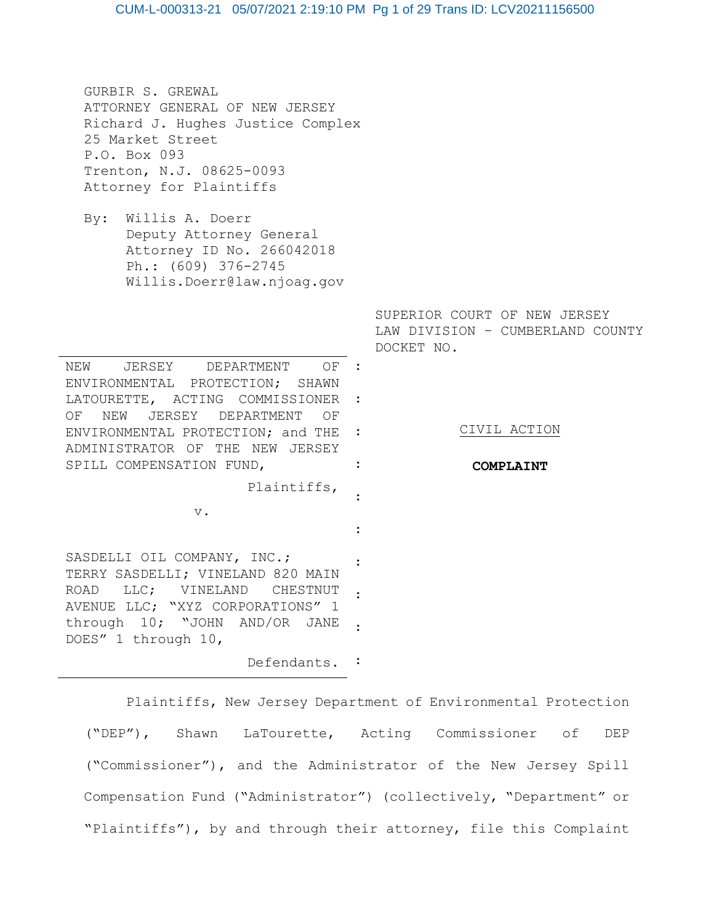GURBIR S. GREWAL ATTORNEY GENERAL OF NEW JERSEY Richard J. Hughes Justice Complex 25 Market Street P.O. Box 093 Trenton, N.J. 08625-0093 Attorney for Plaintiffs

By: Willis A. Doerr Deputy Attorney General Attorney ID No. 266042018 Ph.: (609) 376-2745 Willis.Doerr@law.njoag.gov

NEW JERSEY DEPARTMENT ENVIRONMENTAL PROTECTION; SHAWN LATOURETTE, ACTING COMMISSIONER : OF NEW JERSEY DEPARTMENT OF ENVIRONMENTAL PROTECTION; and THE : ADMINISTRATOR OF THE NEW JERSEY SPILL COMPENSATION FUND, OF : :

Plaintiffs,

v.

SASDELLI OIL COMPANY, INC.; TERRY SASDELLI; VINELAND 820 MAIN ROAD LLC; VINELAND CHESTNUT AVENUE LLC; "XYZ CORPORATIONS" 1 through 10; "JOHN AND/OR JANE : DOES" 1 through 10, : :

Defendants. :

Plaintiffs, New Jersey Department of Environmental Protection ("DEP"), Shawn LaTourette, Acting Commissioner of DEP ("Commissioner"), and the Administrator of the New Jersey Spill Compensation Fund ("Administrator") (collectively, "Department" or "Plaintiffs"), by and through their attorney, file this Complaint

:

:

SUPERIOR COURT OF NEW JERSEY LAW DIVISION – CUMBERLAND COUNTY DOCKET NO.

CIVIL ACTION

#### **COMPLAINT**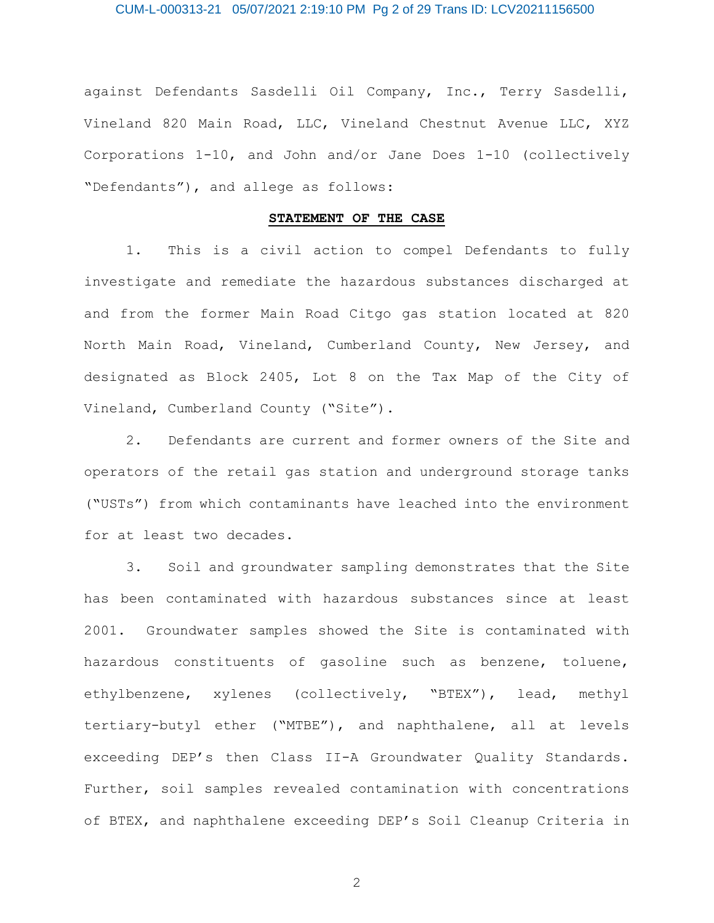## CUM-L-000313-21 05/07/2021 2:19:10 PM Pg 2 of 29 Trans ID: LCV20211156500

against Defendants Sasdelli Oil Company, Inc., Terry Sasdelli, Vineland 820 Main Road, LLC, Vineland Chestnut Avenue LLC, XYZ Corporations 1-10, and John and/or Jane Does 1-10 (collectively "Defendants"), and allege as follows:

### **STATEMENT OF THE CASE**

1. This is a civil action to compel Defendants to fully investigate and remediate the hazardous substances discharged at and from the former Main Road Citgo gas station located at 820 North Main Road, Vineland, Cumberland County, New Jersey, and designated as Block 2405, Lot 8 on the Tax Map of the City of Vineland, Cumberland County ("Site").

2. Defendants are current and former owners of the Site and operators of the retail gas station and underground storage tanks ("USTs") from which contaminants have leached into the environment for at least two decades.

3. Soil and groundwater sampling demonstrates that the Site has been contaminated with hazardous substances since at least 2001. Groundwater samples showed the Site is contaminated with hazardous constituents of gasoline such as benzene, toluene, ethylbenzene, xylenes (collectively, "BTEX"), lead, methyl tertiary-butyl ether ("MTBE"), and naphthalene, all at levels exceeding DEP's then Class II-A Groundwater Quality Standards. Further, soil samples revealed contamination with concentrations of BTEX, and naphthalene exceeding DEP's Soil Cleanup Criteria in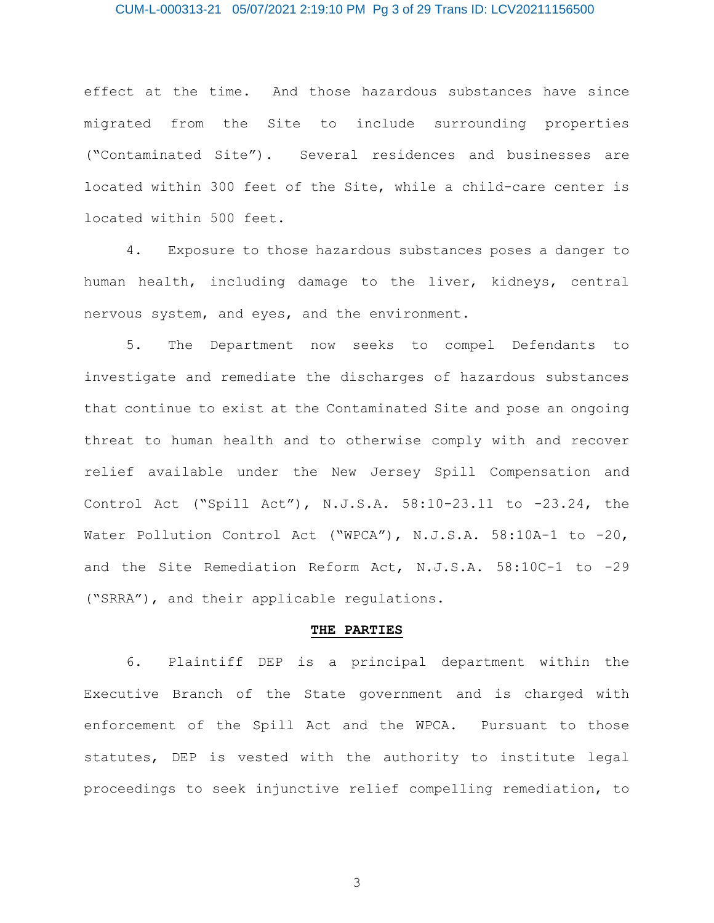### CUM-L-000313-21 05/07/2021 2:19:10 PM Pg 3 of 29 Trans ID: LCV20211156500

effect at the time. And those hazardous substances have since migrated from the Site to include surrounding properties ("Contaminated Site"). Several residences and businesses are located within 300 feet of the Site, while a child-care center is located within 500 feet.

4. Exposure to those hazardous substances poses a danger to human health, including damage to the liver, kidneys, central nervous system, and eyes, and the environment.

5. The Department now seeks to compel Defendants to investigate and remediate the discharges of hazardous substances that continue to exist at the Contaminated Site and pose an ongoing threat to human health and to otherwise comply with and recover relief available under the New Jersey Spill Compensation and Control Act ("Spill Act"), N.J.S.A. 58:10-23.11 to -23.24, the Water Pollution Control Act ("WPCA"), N.J.S.A. 58:10A-1 to -20, and the Site Remediation Reform Act, N.J.S.A. 58:10C-1 to -29 ("SRRA"), and their applicable regulations.

#### **THE PARTIES**

6. Plaintiff DEP is a principal department within the Executive Branch of the State government and is charged with enforcement of the Spill Act and the WPCA. Pursuant to those statutes, DEP is vested with the authority to institute legal proceedings to seek injunctive relief compelling remediation, to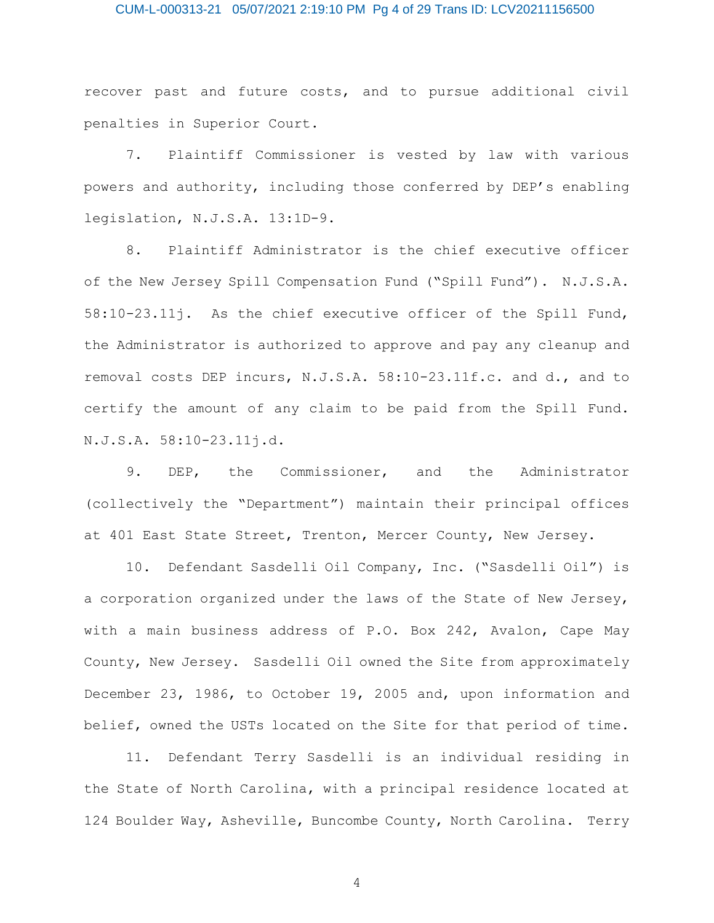### CUM-L-000313-21 05/07/2021 2:19:10 PM Pg 4 of 29 Trans ID: LCV20211156500

recover past and future costs, and to pursue additional civil penalties in Superior Court.

7. Plaintiff Commissioner is vested by law with various powers and authority, including those conferred by DEP's enabling legislation, N.J.S.A. 13:1D-9.

8. Plaintiff Administrator is the chief executive officer of the New Jersey Spill Compensation Fund ("Spill Fund"). N.J.S.A. 58:10-23.11j. As the chief executive officer of the Spill Fund, the Administrator is authorized to approve and pay any cleanup and removal costs DEP incurs, N.J.S.A. 58:10-23.11f.c. and d., and to certify the amount of any claim to be paid from the Spill Fund. N.J.S.A. 58:10-23.11j.d.

9. DEP, the Commissioner, and the Administrator (collectively the "Department") maintain their principal offices at 401 East State Street, Trenton, Mercer County, New Jersey.

10. Defendant Sasdelli Oil Company, Inc. ("Sasdelli Oil") is a corporation organized under the laws of the State of New Jersey, with a main business address of P.O. Box 242, Avalon, Cape May County, New Jersey. Sasdelli Oil owned the Site from approximately December 23, 1986, to October 19, 2005 and, upon information and belief, owned the USTs located on the Site for that period of time.

11. Defendant Terry Sasdelli is an individual residing in the State of North Carolina, with a principal residence located at 124 Boulder Way, Asheville, Buncombe County, North Carolina. Terry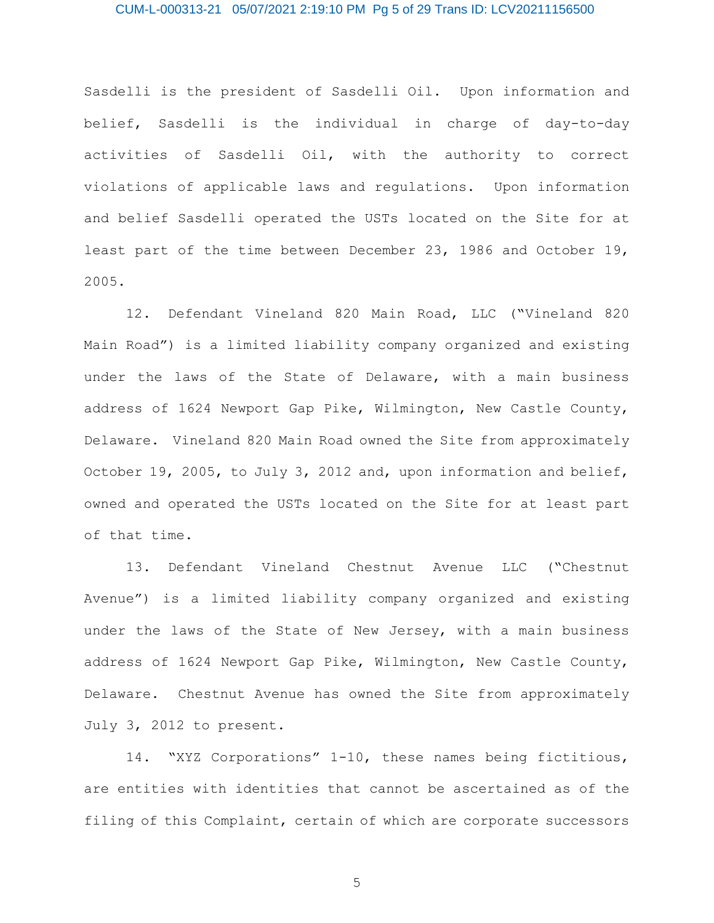### CUM-L-000313-21 05/07/2021 2:19:10 PM Pg 5 of 29 Trans ID: LCV20211156500

Sasdelli is the president of Sasdelli Oil. Upon information and belief, Sasdelli is the individual in charge of day-to-day activities of Sasdelli Oil, with the authority to correct violations of applicable laws and regulations. Upon information and belief Sasdelli operated the USTs located on the Site for at least part of the time between December 23, 1986 and October 19, 2005.

12. Defendant Vineland 820 Main Road, LLC ("Vineland 820 Main Road") is a limited liability company organized and existing under the laws of the State of Delaware, with a main business address of 1624 Newport Gap Pike, Wilmington, New Castle County, Delaware. Vineland 820 Main Road owned the Site from approximately October 19, 2005, to July 3, 2012 and, upon information and belief, owned and operated the USTs located on the Site for at least part of that time.

13. Defendant Vineland Chestnut Avenue LLC ("Chestnut Avenue") is a limited liability company organized and existing under the laws of the State of New Jersey, with a main business address of 1624 Newport Gap Pike, Wilmington, New Castle County, Delaware. Chestnut Avenue has owned the Site from approximately July 3, 2012 to present.

14. "XYZ Corporations" 1-10, these names being fictitious, are entities with identities that cannot be ascertained as of the filing of this Complaint, certain of which are corporate successors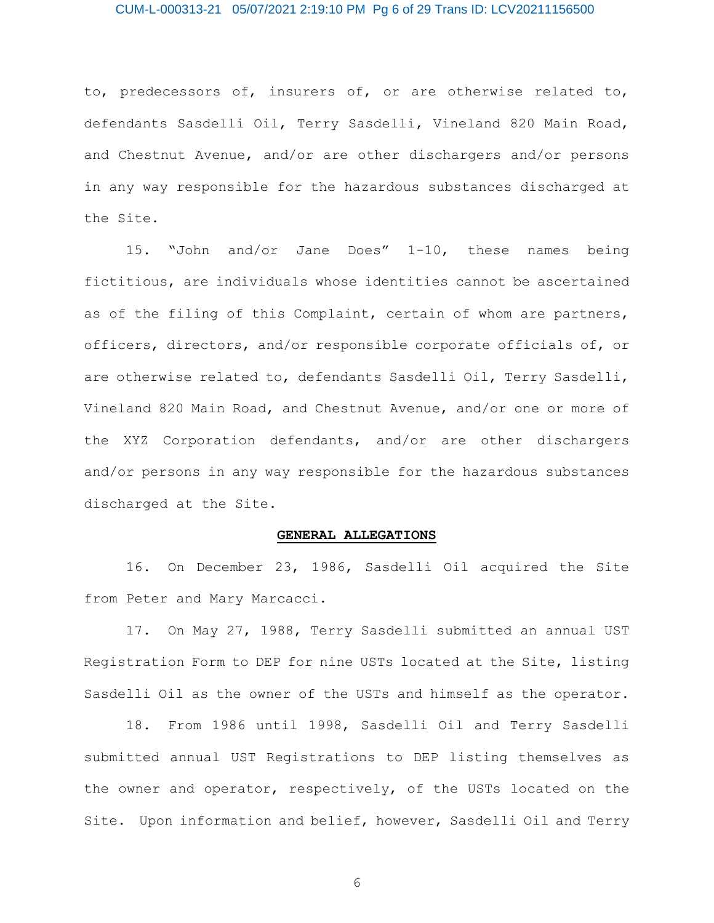### CUM-L-000313-21 05/07/2021 2:19:10 PM Pg 6 of 29 Trans ID: LCV20211156500

to, predecessors of, insurers of, or are otherwise related to, defendants Sasdelli Oil, Terry Sasdelli, Vineland 820 Main Road, and Chestnut Avenue, and/or are other dischargers and/or persons in any way responsible for the hazardous substances discharged at the Site.

15. "John and/or Jane Does" 1-10, these names being fictitious, are individuals whose identities cannot be ascertained as of the filing of this Complaint, certain of whom are partners, officers, directors, and/or responsible corporate officials of, or are otherwise related to, defendants Sasdelli Oil, Terry Sasdelli, Vineland 820 Main Road, and Chestnut Avenue, and/or one or more of the XYZ Corporation defendants, and/or are other dischargers and/or persons in any way responsible for the hazardous substances discharged at the Site.

#### **GENERAL ALLEGATIONS**

16. On December 23, 1986, Sasdelli Oil acquired the Site from Peter and Mary Marcacci.

17. On May 27, 1988, Terry Sasdelli submitted an annual UST Registration Form to DEP for nine USTs located at the Site, listing Sasdelli Oil as the owner of the USTs and himself as the operator.

18. From 1986 until 1998, Sasdelli Oil and Terry Sasdelli submitted annual UST Registrations to DEP listing themselves as the owner and operator, respectively, of the USTs located on the Site. Upon information and belief, however, Sasdelli Oil and Terry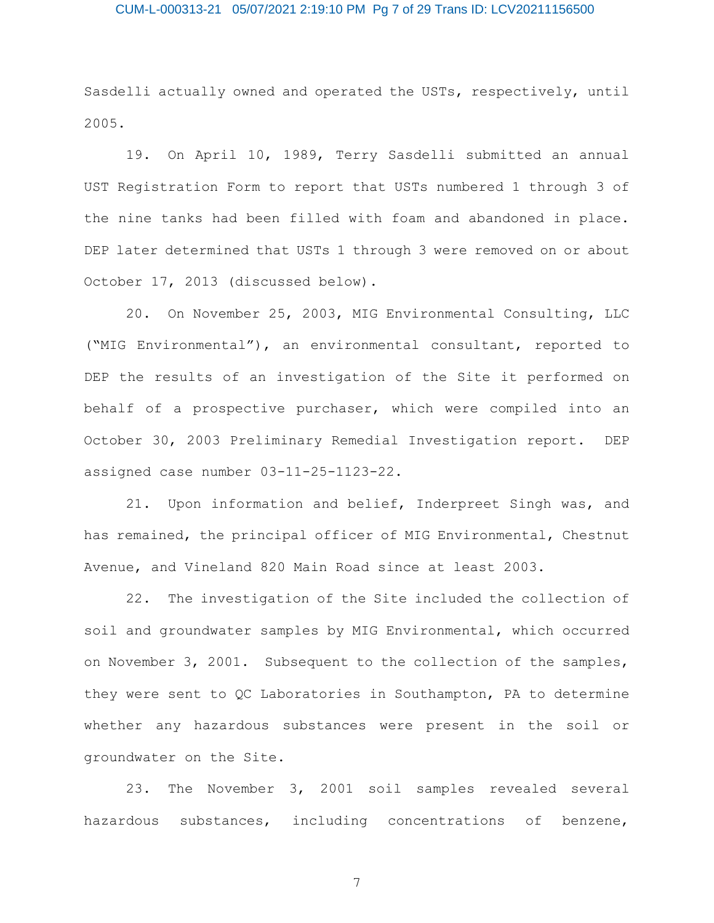# CUM-L-000313-21 05/07/2021 2:19:10 PM Pg 7 of 29 Trans ID: LCV20211156500

Sasdelli actually owned and operated the USTs, respectively, until 2005.

19. On April 10, 1989, Terry Sasdelli submitted an annual UST Registration Form to report that USTs numbered 1 through 3 of the nine tanks had been filled with foam and abandoned in place. DEP later determined that USTs 1 through 3 were removed on or about October 17, 2013 (discussed below).

20. On November 25, 2003, MIG Environmental Consulting, LLC ("MIG Environmental"), an environmental consultant, reported to DEP the results of an investigation of the Site it performed on behalf of a prospective purchaser, which were compiled into an October 30, 2003 Preliminary Remedial Investigation report. DEP assigned case number 03-11-25-1123-22.

21. Upon information and belief, Inderpreet Singh was, and has remained, the principal officer of MIG Environmental, Chestnut Avenue, and Vineland 820 Main Road since at least 2003.

22. The investigation of the Site included the collection of soil and groundwater samples by MIG Environmental, which occurred on November 3, 2001. Subsequent to the collection of the samples, they were sent to QC Laboratories in Southampton, PA to determine whether any hazardous substances were present in the soil or groundwater on the Site.

23. The November 3, 2001 soil samples revealed several hazardous substances, including concentrations of benzene,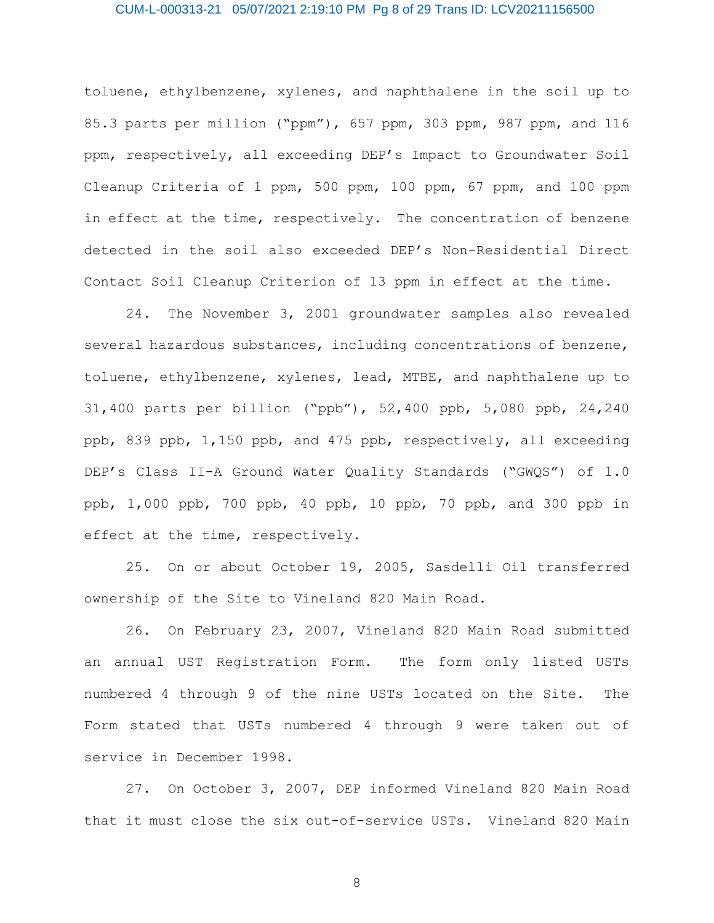### CUM-L-000313-21 05/07/2021 2:19:10 PM Pg 8 of 29 Trans ID: LCV20211156500

toluene, ethylbenzene, xylenes, and naphthalene in the soil up to 85.3 parts per million ("ppm"), 657 ppm, 303 ppm, 987 ppm, and 116 ppm, respectively, all exceeding DEP's Impact to Groundwater Soil Cleanup Criteria of 1 ppm, 500 ppm, 100 ppm, 67 ppm, and 100 ppm in effect at the time, respectively. The concentration of benzene detected in the soil also exceeded DEP's Non-Residential Direct Contact Soil Cleanup Criterion of 13 ppm in effect at the time.

24. The November 3, 2001 groundwater samples also revealed several hazardous substances, including concentrations of benzene, toluene, ethylbenzene, xylenes, lead, MTBE, and naphthalene up to 31,400 parts per billion ("ppb"), 52,400 ppb, 5,080 ppb, 24,240 ppb, 839 ppb, 1,150 ppb, and 475 ppb, respectively, all exceeding DEP's Class II-A Ground Water Quality Standards ("GWQS") of 1.0 ppb, 1,000 ppb, 700 ppb, 40 ppb, 10 ppb, 70 ppb, and 300 ppb in effect at the time, respectively.

25. On or about October 19, 2005, Sasdelli Oil transferred ownership of the Site to Vineland 820 Main Road.

26. On February 23, 2007, Vineland 820 Main Road submitted an annual UST Registration Form. The form only listed USTs numbered 4 through 9 of the nine USTs located on the Site. The Form stated that USTs numbered 4 through 9 were taken out of service in December 1998.

27. On October 3, 2007, DEP informed Vineland 820 Main Road that it must close the six out-of-service USTs. Vineland 820 Main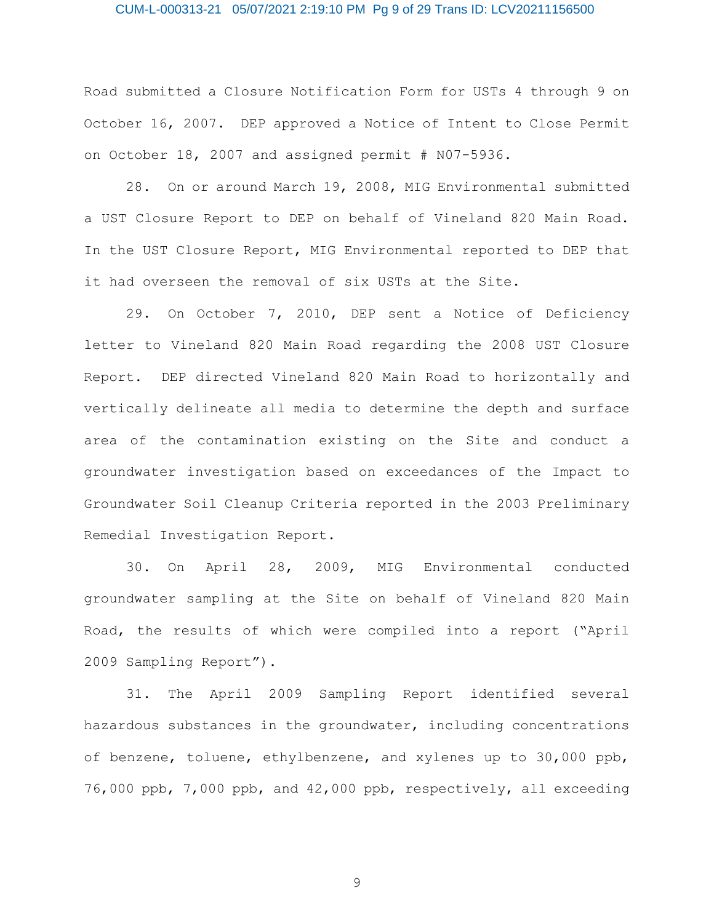### CUM-L-000313-21 05/07/2021 2:19:10 PM Pg 9 of 29 Trans ID: LCV20211156500

Road submitted a Closure Notification Form for USTs 4 through 9 on October 16, 2007. DEP approved a Notice of Intent to Close Permit on October 18, 2007 and assigned permit # N07-5936.

28. On or around March 19, 2008, MIG Environmental submitted a UST Closure Report to DEP on behalf of Vineland 820 Main Road. In the UST Closure Report, MIG Environmental reported to DEP that it had overseen the removal of six USTs at the Site.

29. On October 7, 2010, DEP sent a Notice of Deficiency letter to Vineland 820 Main Road regarding the 2008 UST Closure Report. DEP directed Vineland 820 Main Road to horizontally and vertically delineate all media to determine the depth and surface area of the contamination existing on the Site and conduct a groundwater investigation based on exceedances of the Impact to Groundwater Soil Cleanup Criteria reported in the 2003 Preliminary Remedial Investigation Report.

30. On April 28, 2009, MIG Environmental conducted groundwater sampling at the Site on behalf of Vineland 820 Main Road, the results of which were compiled into a report ("April 2009 Sampling Report").

31. The April 2009 Sampling Report identified several hazardous substances in the groundwater, including concentrations of benzene, toluene, ethylbenzene, and xylenes up to 30,000 ppb, 76,000 ppb, 7,000 ppb, and 42,000 ppb, respectively, all exceeding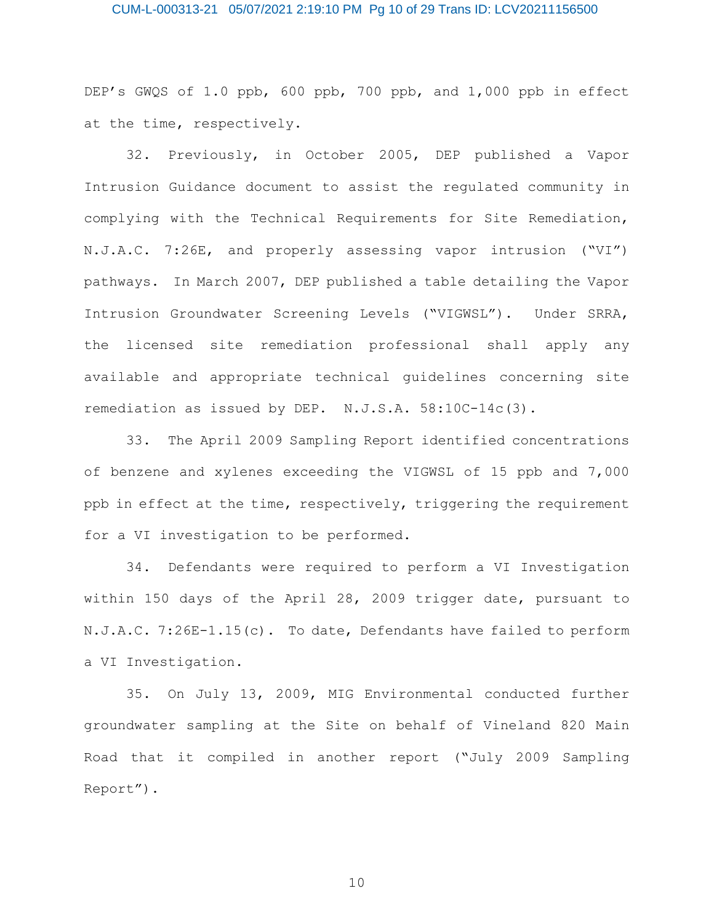### CUM-L-000313-21 05/07/2021 2:19:10 PM Pg 10 of 29 Trans ID: LCV20211156500

DEP's GWQS of 1.0 ppb, 600 ppb, 700 ppb, and 1,000 ppb in effect at the time, respectively.

32. Previously, in October 2005, DEP published a Vapor Intrusion Guidance document to assist the regulated community in complying with the Technical Requirements for Site Remediation, N.J.A.C. 7:26E, and properly assessing vapor intrusion ("VI") pathways. In March 2007, DEP published a table detailing the Vapor Intrusion Groundwater Screening Levels ("VIGWSL"). Under SRRA, the licensed site remediation professional shall apply any available and appropriate technical guidelines concerning site remediation as issued by DEP. N.J.S.A. 58:10C-14c(3).

33. The April 2009 Sampling Report identified concentrations of benzene and xylenes exceeding the VIGWSL of 15 ppb and 7,000 ppb in effect at the time, respectively, triggering the requirement for a VI investigation to be performed.

34. Defendants were required to perform a VI Investigation within 150 days of the April 28, 2009 trigger date, pursuant to N.J.A.C. 7:26E-1.15(c). To date, Defendants have failed to perform a VI Investigation.

35. On July 13, 2009, MIG Environmental conducted further groundwater sampling at the Site on behalf of Vineland 820 Main Road that it compiled in another report ("July 2009 Sampling Report").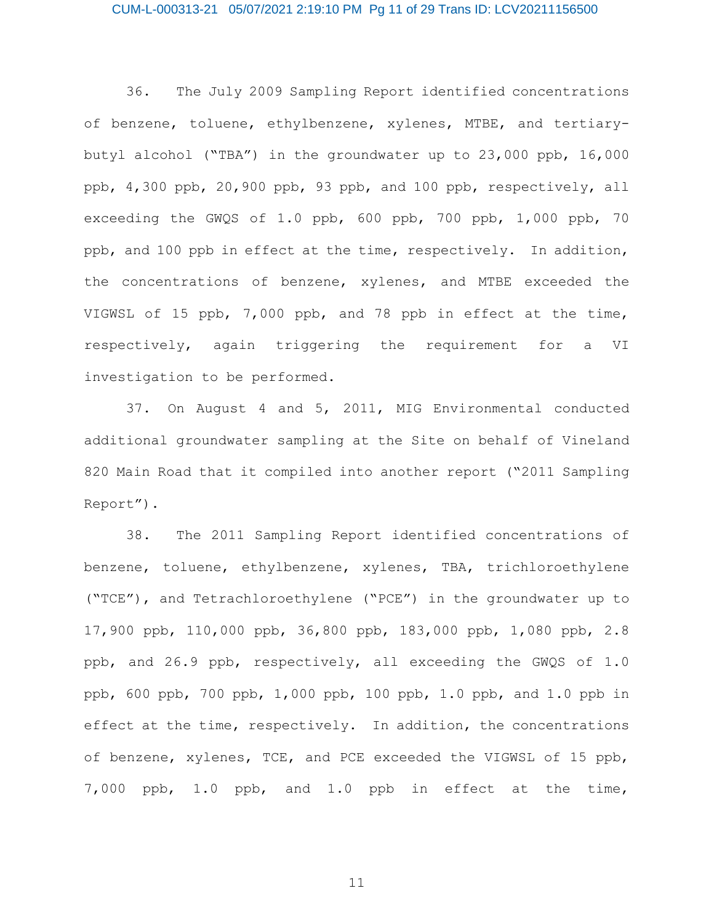### CUM-L-000313-21 05/07/2021 2:19:10 PM Pg 11 of 29 Trans ID: LCV20211156500

36. The July 2009 Sampling Report identified concentrations of benzene, toluene, ethylbenzene, xylenes, MTBE, and tertiarybutyl alcohol ("TBA") in the groundwater up to 23,000 ppb, 16,000 ppb, 4,300 ppb, 20,900 ppb, 93 ppb, and 100 ppb, respectively, all exceeding the GWQS of 1.0 ppb, 600 ppb, 700 ppb, 1,000 ppb, 70 ppb, and 100 ppb in effect at the time, respectively. In addition, the concentrations of benzene, xylenes, and MTBE exceeded the VIGWSL of 15 ppb, 7,000 ppb, and 78 ppb in effect at the time, respectively, again triggering the requirement for a VI investigation to be performed.

37. On August 4 and 5, 2011, MIG Environmental conducted additional groundwater sampling at the Site on behalf of Vineland 820 Main Road that it compiled into another report ("2011 Sampling Report").

38. The 2011 Sampling Report identified concentrations of benzene, toluene, ethylbenzene, xylenes, TBA, trichloroethylene ("TCE"), and Tetrachloroethylene ("PCE") in the groundwater up to 17,900 ppb, 110,000 ppb, 36,800 ppb, 183,000 ppb, 1,080 ppb, 2.8 ppb, and 26.9 ppb, respectively, all exceeding the GWQS of 1.0 ppb, 600 ppb, 700 ppb, 1,000 ppb, 100 ppb, 1.0 ppb, and 1.0 ppb in effect at the time, respectively. In addition, the concentrations of benzene, xylenes, TCE, and PCE exceeded the VIGWSL of 15 ppb, 7,000 ppb, 1.0 ppb, and 1.0 ppb in effect at the time,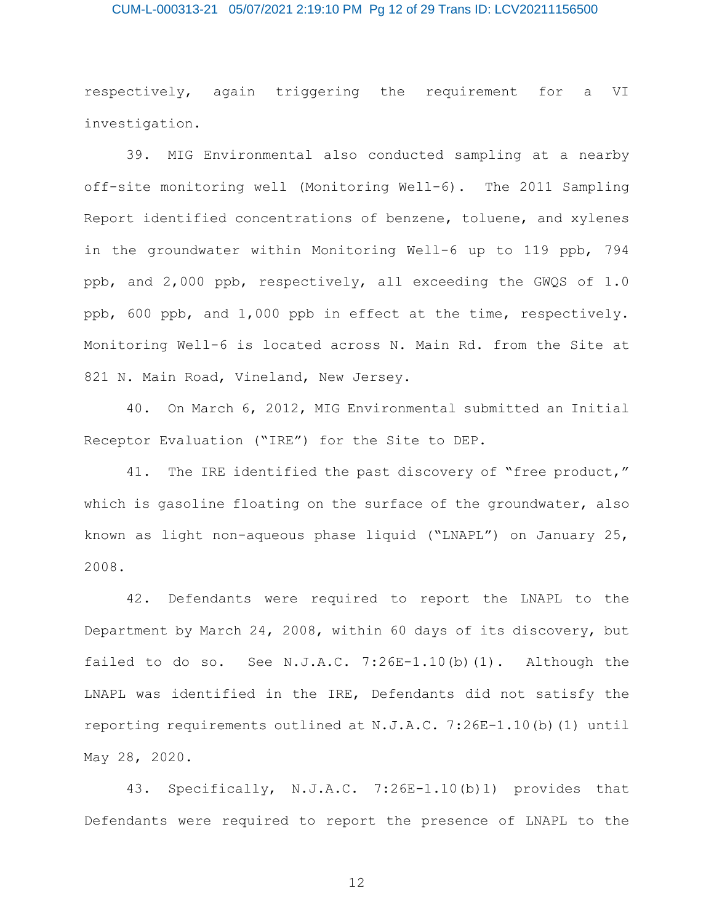### CUM-L-000313-21 05/07/2021 2:19:10 PM Pg 12 of 29 Trans ID: LCV20211156500

respectively, again triggering the requirement for a VI investigation.

39. MIG Environmental also conducted sampling at a nearby off-site monitoring well (Monitoring Well-6). The 2011 Sampling Report identified concentrations of benzene, toluene, and xylenes in the groundwater within Monitoring Well-6 up to 119 ppb, 794 ppb, and 2,000 ppb, respectively, all exceeding the GWQS of 1.0 ppb, 600 ppb, and 1,000 ppb in effect at the time, respectively. Monitoring Well-6 is located across N. Main Rd. from the Site at 821 N. Main Road, Vineland, New Jersey.

40. On March 6, 2012, MIG Environmental submitted an Initial Receptor Evaluation ("IRE") for the Site to DEP.

41. The IRE identified the past discovery of "free product," which is gasoline floating on the surface of the groundwater, also known as light non-aqueous phase liquid ("LNAPL") on January 25, 2008.

42. Defendants were required to report the LNAPL to the Department by March 24, 2008, within 60 days of its discovery, but failed to do so. See  $N.J.A.C. 7:26E-1.10(b)(1)$ . Although the LNAPL was identified in the IRE, Defendants did not satisfy the reporting requirements outlined at N.J.A.C. 7:26E-1.10(b)(1) until May 28, 2020.

43. Specifically, N.J.A.C. 7:26E-1.10(b)1) provides that Defendants were required to report the presence of LNAPL to the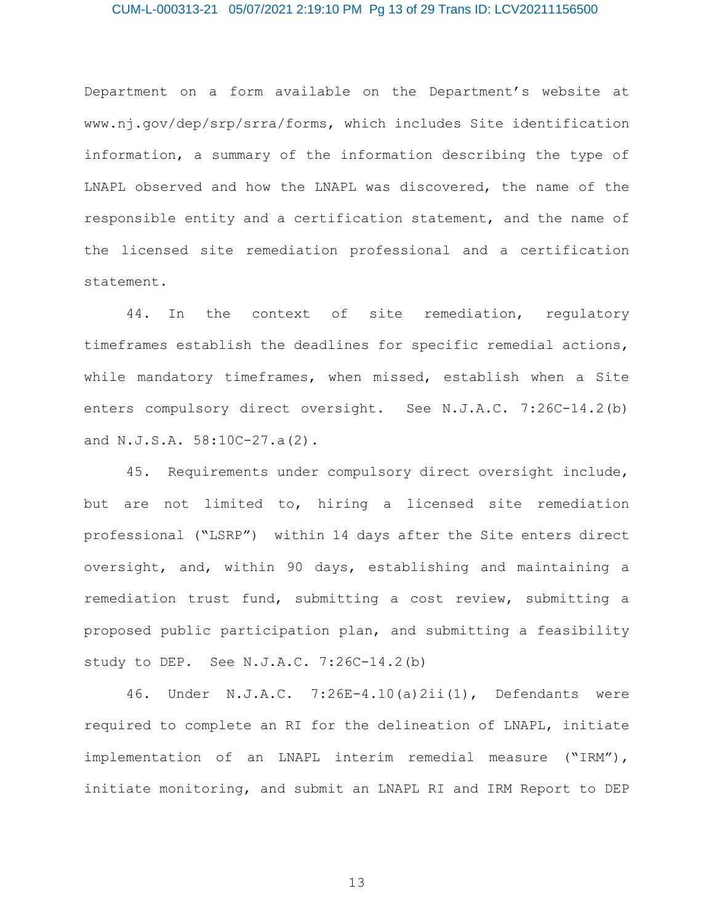### CUM-L-000313-21 05/07/2021 2:19:10 PM Pg 13 of 29 Trans ID: LCV20211156500

Department on a form available on the Department's website at www.nj.gov/dep/srp/srra/forms, which includes Site identification information, a summary of the information describing the type of LNAPL observed and how the LNAPL was discovered, the name of the responsible entity and a certification statement, and the name of the licensed site remediation professional and a certification statement.

44. In the context of site remediation, regulatory timeframes establish the deadlines for specific remedial actions, while mandatory timeframes, when missed, establish when a Site enters compulsory direct oversight. See N.J.A.C. 7:26C-14.2(b) and N.J.S.A. 58:10C-27.a(2).

45. Requirements under compulsory direct oversight include, but are not limited to, hiring a licensed site remediation professional ("LSRP") within 14 days after the Site enters direct oversight, and, within 90 days, establishing and maintaining a remediation trust fund, submitting a cost review, submitting a proposed public participation plan, and submitting a feasibility study to DEP. See N.J.A.C. 7:26C-14.2(b)

46. Under N.J.A.C. 7:26E-4.10(a)2ii(1), Defendants were required to complete an RI for the delineation of LNAPL, initiate implementation of an LNAPL interim remedial measure ("IRM"), initiate monitoring, and submit an LNAPL RI and IRM Report to DEP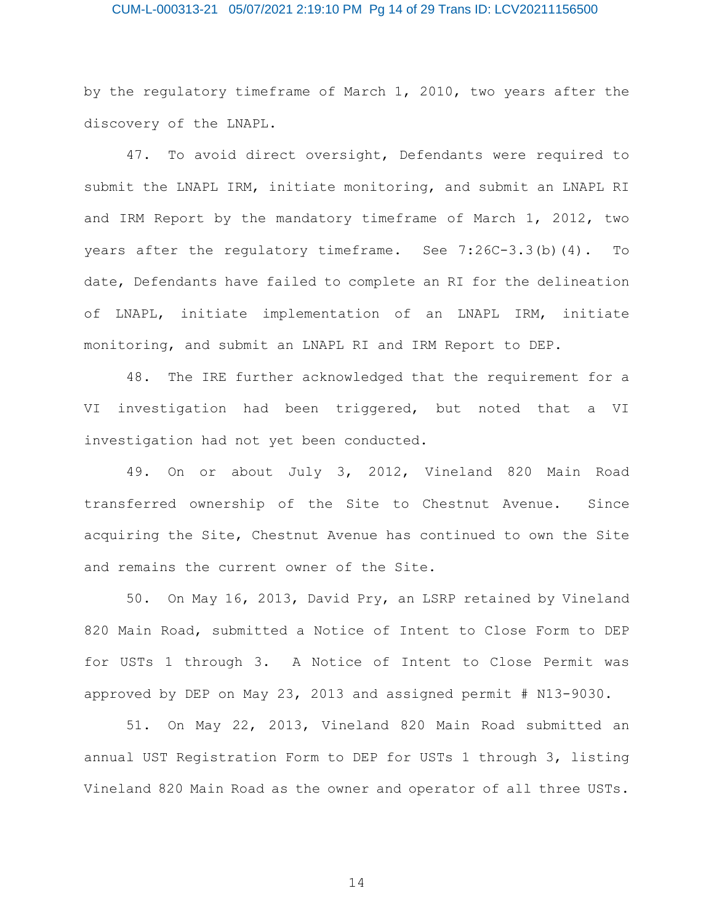### CUM-L-000313-21 05/07/2021 2:19:10 PM Pg 14 of 29 Trans ID: LCV20211156500

by the regulatory timeframe of March 1, 2010, two years after the discovery of the LNAPL.

47. To avoid direct oversight, Defendants were required to submit the LNAPL IRM, initiate monitoring, and submit an LNAPL RI and IRM Report by the mandatory timeframe of March 1, 2012, two years after the regulatory timeframe. See 7:26C-3.3(b)(4). To date, Defendants have failed to complete an RI for the delineation of LNAPL, initiate implementation of an LNAPL IRM, initiate monitoring, and submit an LNAPL RI and IRM Report to DEP.

48. The IRE further acknowledged that the requirement for a VI investigation had been triggered, but noted that a VI investigation had not yet been conducted.

49. On or about July 3, 2012, Vineland 820 Main Road transferred ownership of the Site to Chestnut Avenue. Since acquiring the Site, Chestnut Avenue has continued to own the Site and remains the current owner of the Site.

50. On May 16, 2013, David Pry, an LSRP retained by Vineland 820 Main Road, submitted a Notice of Intent to Close Form to DEP for USTs 1 through 3. A Notice of Intent to Close Permit was approved by DEP on May 23, 2013 and assigned permit # N13-9030.

51. On May 22, 2013, Vineland 820 Main Road submitted an annual UST Registration Form to DEP for USTs 1 through 3, listing Vineland 820 Main Road as the owner and operator of all three USTs.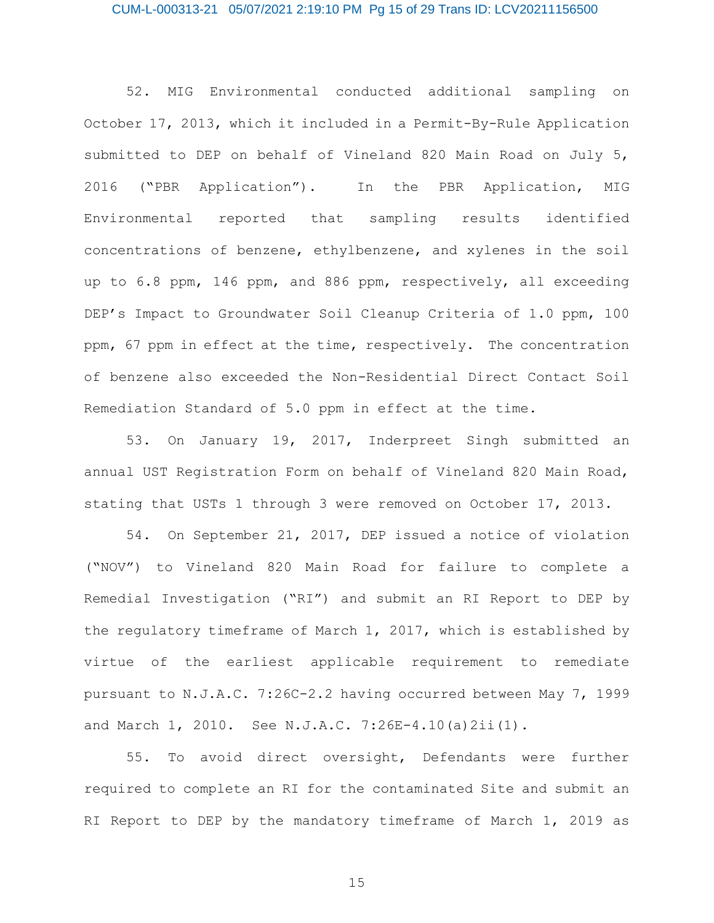### CUM-L-000313-21 05/07/2021 2:19:10 PM Pg 15 of 29 Trans ID: LCV20211156500

52. MIG Environmental conducted additional sampling on October 17, 2013, which it included in a Permit-By-Rule Application submitted to DEP on behalf of Vineland 820 Main Road on July 5, 2016 ("PBR Application"). In the PBR Application, MIG Environmental reported that sampling results identified concentrations of benzene, ethylbenzene, and xylenes in the soil up to 6.8 ppm, 146 ppm, and 886 ppm, respectively, all exceeding DEP's Impact to Groundwater Soil Cleanup Criteria of 1.0 ppm, 100 ppm, 67 ppm in effect at the time, respectively. The concentration of benzene also exceeded the Non-Residential Direct Contact Soil Remediation Standard of 5.0 ppm in effect at the time.

53. On January 19, 2017, Inderpreet Singh submitted an annual UST Registration Form on behalf of Vineland 820 Main Road, stating that USTs 1 through 3 were removed on October 17, 2013.

54. On September 21, 2017, DEP issued a notice of violation ("NOV") to Vineland 820 Main Road for failure to complete a Remedial Investigation ("RI") and submit an RI Report to DEP by the regulatory timeframe of March 1, 2017, which is established by virtue of the earliest applicable requirement to remediate pursuant to N.J.A.C. 7:26C-2.2 having occurred between May 7, 1999 and March 1, 2010. See N.J.A.C. 7:26E-4.10(a)2ii(1).

55. To avoid direct oversight, Defendants were further required to complete an RI for the contaminated Site and submit an RI Report to DEP by the mandatory timeframe of March 1, 2019 as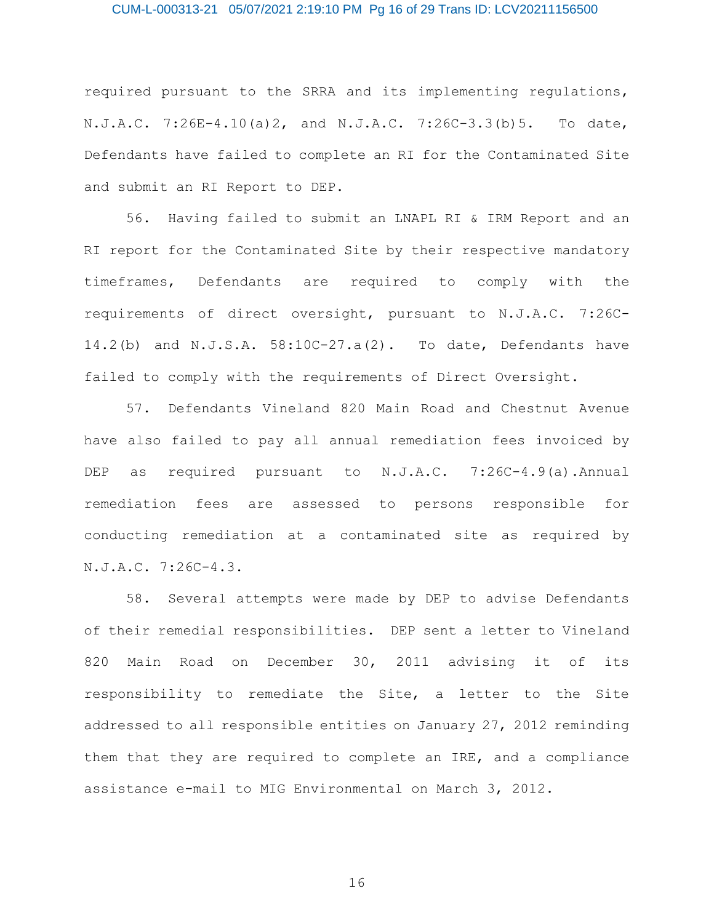### CUM-L-000313-21 05/07/2021 2:19:10 PM Pg 16 of 29 Trans ID: LCV20211156500

required pursuant to the SRRA and its implementing regulations, N.J.A.C. 7:26E-4.10(a)2, and N.J.A.C. 7:26C-3.3(b)5. To date, Defendants have failed to complete an RI for the Contaminated Site and submit an RI Report to DEP.

56. Having failed to submit an LNAPL RI & IRM Report and an RI report for the Contaminated Site by their respective mandatory timeframes, Defendants are required to comply with the requirements of direct oversight, pursuant to N.J.A.C. 7:26C-14.2(b) and N.J.S.A. 58:10C-27.a(2). To date, Defendants have failed to comply with the requirements of Direct Oversight.

57. Defendants Vineland 820 Main Road and Chestnut Avenue have also failed to pay all annual remediation fees invoiced by DEP as required pursuant to N.J.A.C. 7:26C-4.9(a).Annual remediation fees are assessed to persons responsible for conducting remediation at a contaminated site as required by N.J.A.C. 7:26C-4.3.

58. Several attempts were made by DEP to advise Defendants of their remedial responsibilities. DEP sent a letter to Vineland 820 Main Road on December 30, 2011 advising it of its responsibility to remediate the Site, a letter to the Site addressed to all responsible entities on January 27, 2012 reminding them that they are required to complete an IRE, and a compliance assistance e-mail to MIG Environmental on March 3, 2012.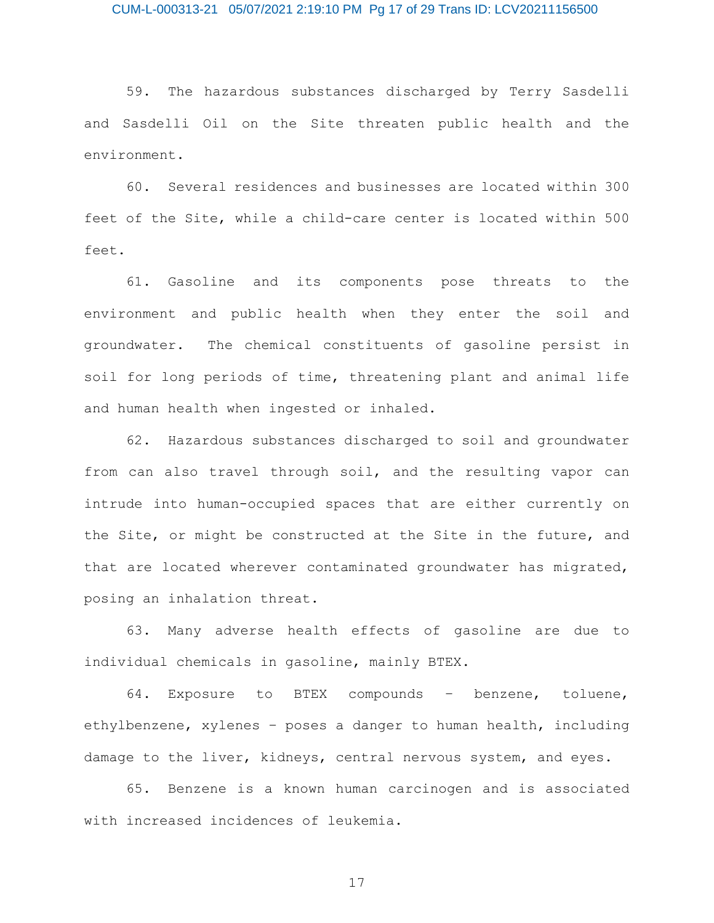### CUM-L-000313-21 05/07/2021 2:19:10 PM Pg 17 of 29 Trans ID: LCV20211156500

59. The hazardous substances discharged by Terry Sasdelli and Sasdelli Oil on the Site threaten public health and the environment.

60. Several residences and businesses are located within 300 feet of the Site, while a child-care center is located within 500 feet.

61. Gasoline and its components pose threats to the environment and public health when they enter the soil and groundwater. The chemical constituents of gasoline persist in soil for long periods of time, threatening plant and animal life and human health when ingested or inhaled.

62. Hazardous substances discharged to soil and groundwater from can also travel through soil, and the resulting vapor can intrude into human-occupied spaces that are either currently on the Site, or might be constructed at the Site in the future, and that are located wherever contaminated groundwater has migrated, posing an inhalation threat.

63. Many adverse health effects of gasoline are due to individual chemicals in gasoline, mainly BTEX.

64. Exposure to BTEX compounds – benzene, toluene, ethylbenzene, xylenes – poses a danger to human health, including damage to the liver, kidneys, central nervous system, and eyes.

65. Benzene is a known human carcinogen and is associated with increased incidences of leukemia.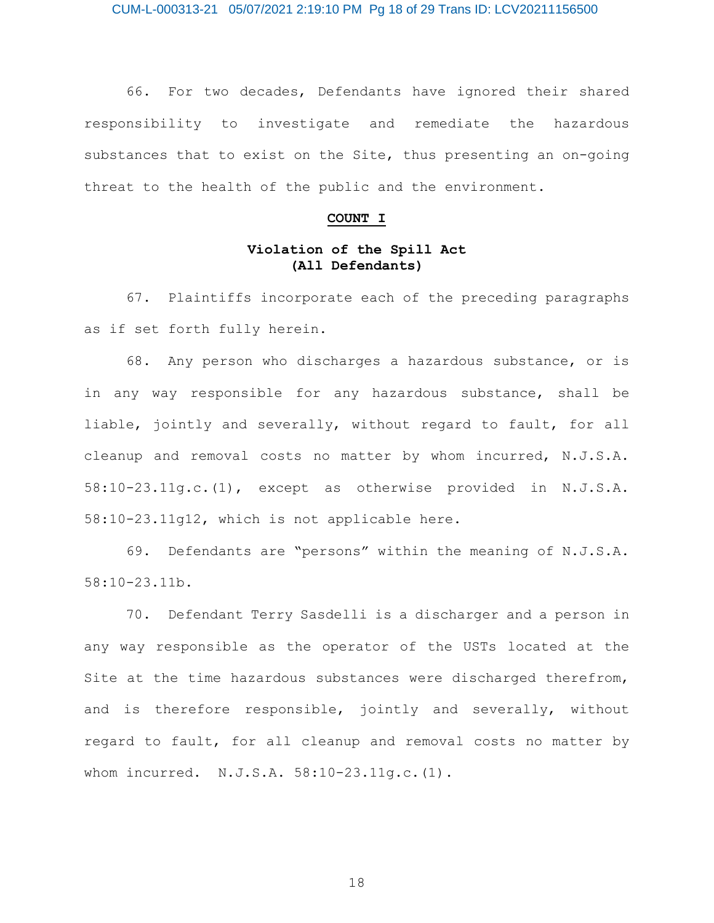CUM-L-000313-21 05/07/2021 2:19:10 PM Pg 18 of 29 Trans ID: LCV20211156500

66. For two decades, Defendants have ignored their shared responsibility to investigate and remediate the hazardous substances that to exist on the Site, thus presenting an on-going threat to the health of the public and the environment.

#### **COUNT I**

# **Violation of the Spill Act (All Defendants)**

67. Plaintiffs incorporate each of the preceding paragraphs as if set forth fully herein.

68. Any person who discharges a hazardous substance, or is in any way responsible for any hazardous substance, shall be liable, jointly and severally, without regard to fault, for all cleanup and removal costs no matter by whom incurred, N.J.S.A. 58:10-23.11g.c.(1), except as otherwise provided in N.J.S.A. 58:10-23.11g12, which is not applicable here.

69. Defendants are "persons" within the meaning of N.J.S.A. 58:10-23.11b.

70. Defendant Terry Sasdelli is a discharger and a person in any way responsible as the operator of the USTs located at the Site at the time hazardous substances were discharged therefrom, and is therefore responsible, jointly and severally, without regard to fault, for all cleanup and removal costs no matter by whom incurred. N.J.S.A. 58:10-23.11g.c.(1).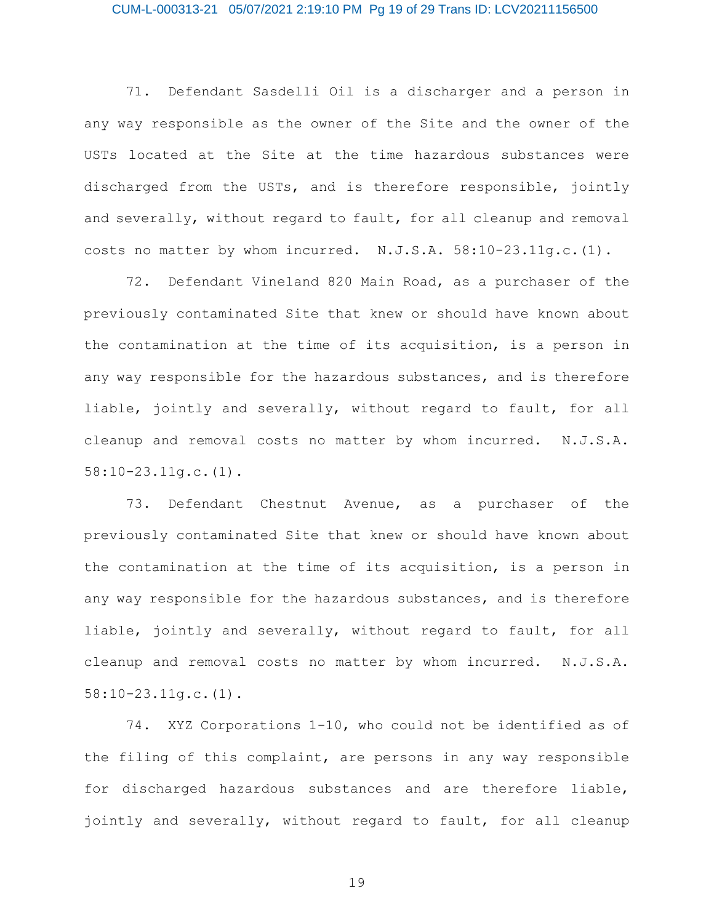### CUM-L-000313-21 05/07/2021 2:19:10 PM Pg 19 of 29 Trans ID: LCV20211156500

71. Defendant Sasdelli Oil is a discharger and a person in any way responsible as the owner of the Site and the owner of the USTs located at the Site at the time hazardous substances were discharged from the USTs, and is therefore responsible, jointly and severally, without regard to fault, for all cleanup and removal costs no matter by whom incurred. N.J.S.A. 58:10-23.11g.c.(1).

72. Defendant Vineland 820 Main Road, as a purchaser of the previously contaminated Site that knew or should have known about the contamination at the time of its acquisition, is a person in any way responsible for the hazardous substances, and is therefore liable, jointly and severally, without regard to fault, for all cleanup and removal costs no matter by whom incurred. N.J.S.A. 58:10-23.11g.c.(1).

73. Defendant Chestnut Avenue, as a purchaser of the previously contaminated Site that knew or should have known about the contamination at the time of its acquisition, is a person in any way responsible for the hazardous substances, and is therefore liable, jointly and severally, without regard to fault, for all cleanup and removal costs no matter by whom incurred. N.J.S.A. 58:10-23.11g.c.(1).

74. XYZ Corporations 1-10, who could not be identified as of the filing of this complaint, are persons in any way responsible for discharged hazardous substances and are therefore liable, jointly and severally, without regard to fault, for all cleanup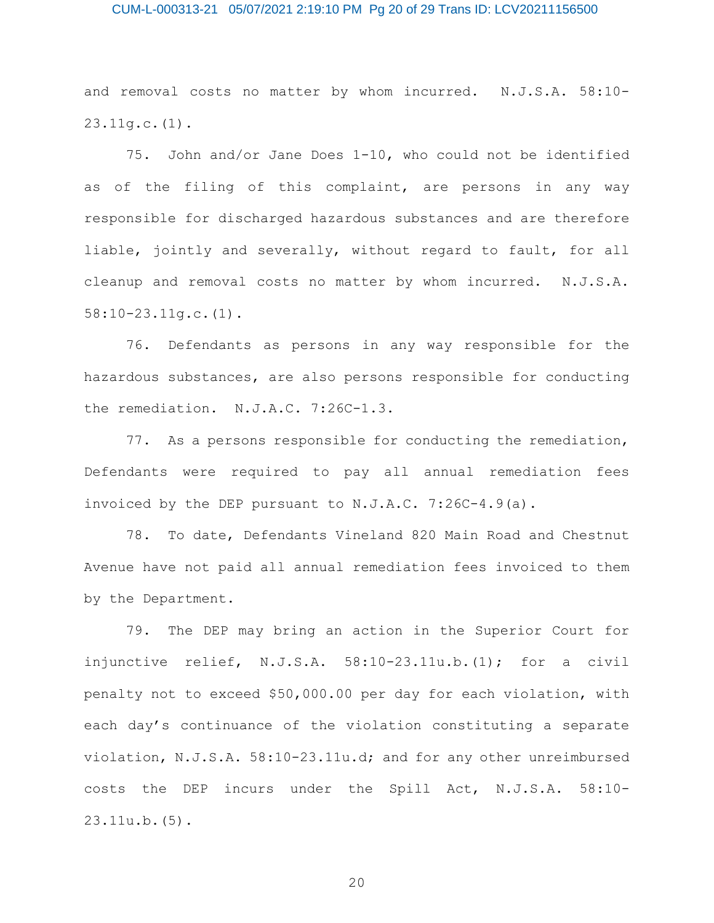### CUM-L-000313-21 05/07/2021 2:19:10 PM Pg 20 of 29 Trans ID: LCV20211156500

and removal costs no matter by whom incurred. N.J.S.A. 58:10- 23.11g.c.(1).

75. John and/or Jane Does 1-10, who could not be identified as of the filing of this complaint, are persons in any way responsible for discharged hazardous substances and are therefore liable, jointly and severally, without regard to fault, for all cleanup and removal costs no matter by whom incurred. N.J.S.A. 58:10-23.11g.c.(1).

76. Defendants as persons in any way responsible for the hazardous substances, are also persons responsible for conducting the remediation. N.J.A.C. 7:26C-1.3.

77. As a persons responsible for conducting the remediation, Defendants were required to pay all annual remediation fees invoiced by the DEP pursuant to N.J.A.C. 7:26C-4.9(a).

78. To date, Defendants Vineland 820 Main Road and Chestnut Avenue have not paid all annual remediation fees invoiced to them by the Department.

79. The DEP may bring an action in the Superior Court for injunctive relief, N.J.S.A. 58:10-23.11u.b.(1); for a civil penalty not to exceed \$50,000.00 per day for each violation, with each day's continuance of the violation constituting a separate violation, N.J.S.A. 58:10-23.11u.d; and for any other unreimbursed costs the DEP incurs under the Spill Act, N.J.S.A. 58:10- 23.11u.b.(5).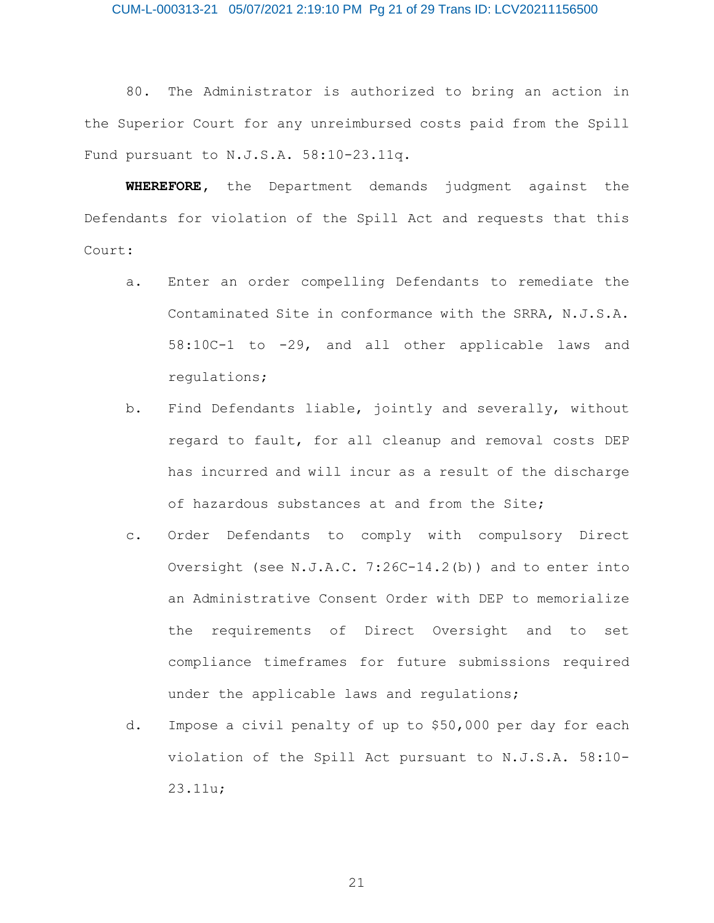### CUM-L-000313-21 05/07/2021 2:19:10 PM Pg 21 of 29 Trans ID: LCV20211156500

80. The Administrator is authorized to bring an action in the Superior Court for any unreimbursed costs paid from the Spill Fund pursuant to N.J.S.A. 58:10-23.11q.

**WHEREFORE,** the Department demands judgment against the Defendants for violation of the Spill Act and requests that this Court:

- a. Enter an order compelling Defendants to remediate the Contaminated Site in conformance with the SRRA, N.J.S.A. 58:10C-1 to -29, and all other applicable laws and regulations;
- b. Find Defendants liable, jointly and severally, without regard to fault, for all cleanup and removal costs DEP has incurred and will incur as a result of the discharge of hazardous substances at and from the Site;
- c. Order Defendants to comply with compulsory Direct Oversight (see N.J.A.C. 7:26C-14.2(b)) and to enter into an Administrative Consent Order with DEP to memorialize the requirements of Direct Oversight and to set compliance timeframes for future submissions required under the applicable laws and regulations;
- d. Impose a civil penalty of up to \$50,000 per day for each violation of the Spill Act pursuant to N.J.S.A. 58:10- 23.11u;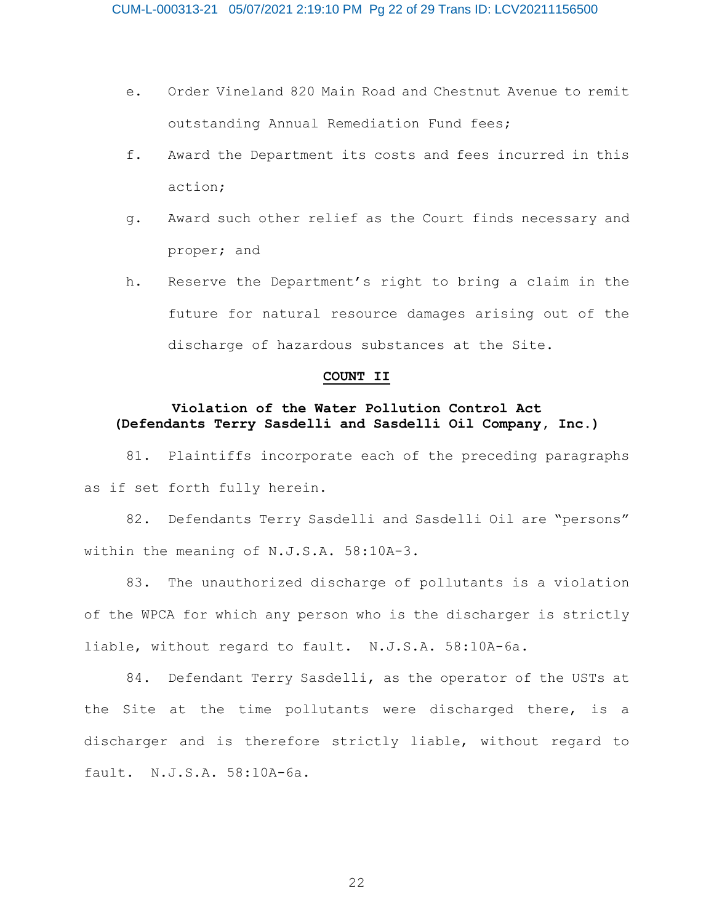- e. Order Vineland 820 Main Road and Chestnut Avenue to remit outstanding Annual Remediation Fund fees;
- f. Award the Department its costs and fees incurred in this action;
- g. Award such other relief as the Court finds necessary and proper; and
- h. Reserve the Department's right to bring a claim in the future for natural resource damages arising out of the discharge of hazardous substances at the Site.

#### **COUNT II**

## **Violation of the Water Pollution Control Act (Defendants Terry Sasdelli and Sasdelli Oil Company, Inc.)**

81. Plaintiffs incorporate each of the preceding paragraphs as if set forth fully herein.

82. Defendants Terry Sasdelli and Sasdelli Oil are "persons" within the meaning of N.J.S.A. 58:10A-3.

83. The unauthorized discharge of pollutants is a violation of the WPCA for which any person who is the discharger is strictly liable, without regard to fault. N.J.S.A. 58:10A-6a.

84. Defendant Terry Sasdelli, as the operator of the USTs at the Site at the time pollutants were discharged there, is a discharger and is therefore strictly liable, without regard to fault. N.J.S.A. 58:10A-6a.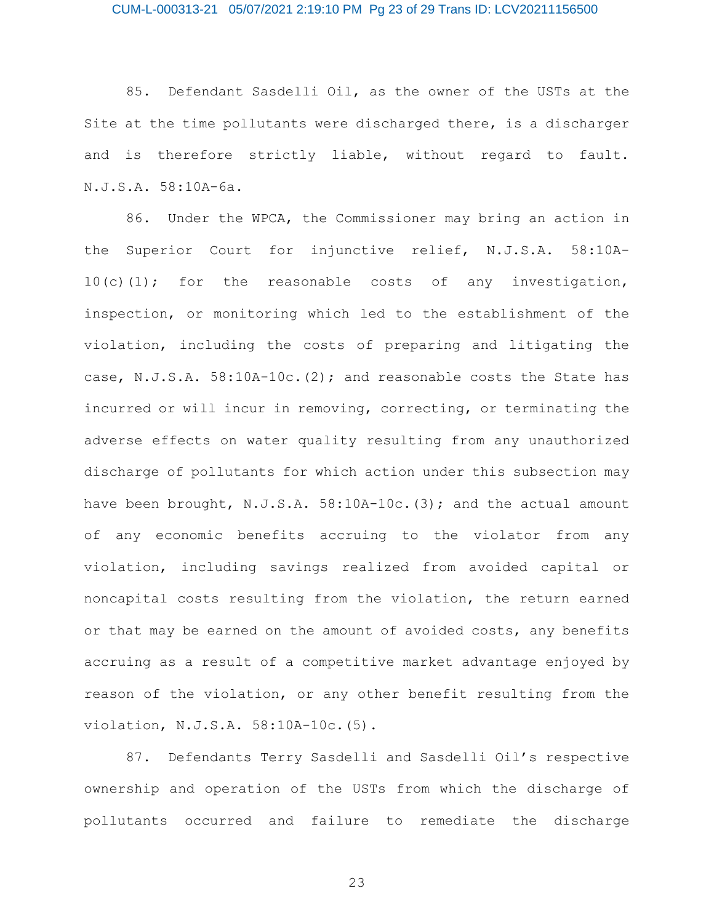### CUM-L-000313-21 05/07/2021 2:19:10 PM Pg 23 of 29 Trans ID: LCV20211156500

85. Defendant Sasdelli Oil, as the owner of the USTs at the Site at the time pollutants were discharged there, is a discharger and is therefore strictly liable, without regard to fault. N.J.S.A. 58:10A-6a.

86. Under the WPCA, the Commissioner may bring an action in the Superior Court for injunctive relief, N.J.S.A. 58:10A-10(c)(1); for the reasonable costs of any investigation, inspection, or monitoring which led to the establishment of the violation, including the costs of preparing and litigating the case, N.J.S.A. 58:10A-10c.(2); and reasonable costs the State has incurred or will incur in removing, correcting, or terminating the adverse effects on water quality resulting from any unauthorized discharge of pollutants for which action under this subsection may have been brought, N.J.S.A. 58:10A-10c. (3); and the actual amount of any economic benefits accruing to the violator from any violation, including savings realized from avoided capital or noncapital costs resulting from the violation, the return earned or that may be earned on the amount of avoided costs, any benefits accruing as a result of a competitive market advantage enjoyed by reason of the violation, or any other benefit resulting from the violation, N.J.S.A. 58:10A-10c.(5).

87. Defendants Terry Sasdelli and Sasdelli Oil's respective ownership and operation of the USTs from which the discharge of pollutants occurred and failure to remediate the discharge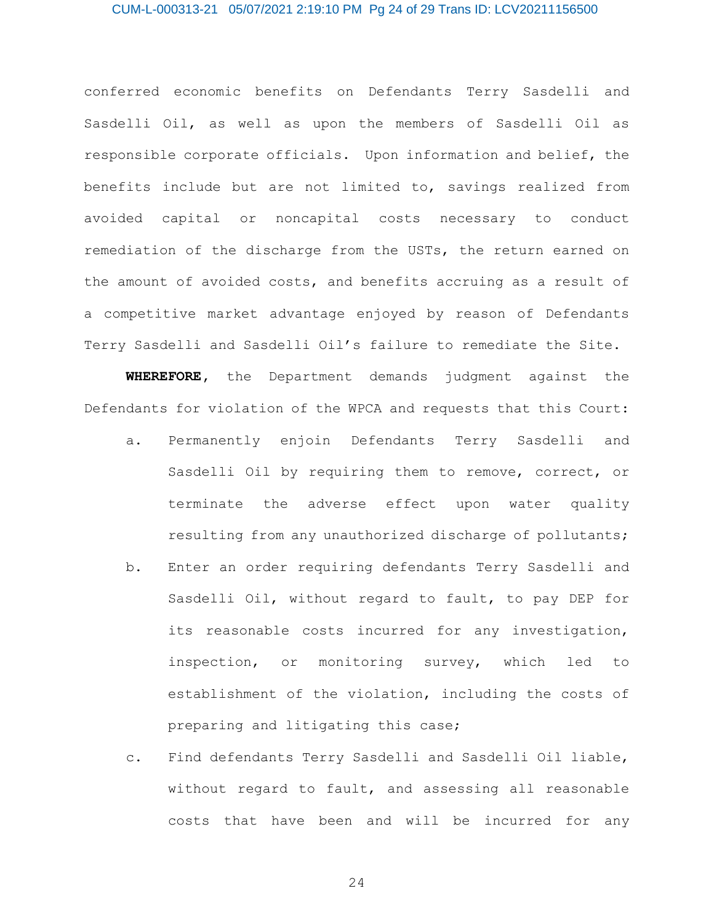### CUM-L-000313-21 05/07/2021 2:19:10 PM Pg 24 of 29 Trans ID: LCV20211156500

conferred economic benefits on Defendants Terry Sasdelli and Sasdelli Oil, as well as upon the members of Sasdelli Oil as responsible corporate officials. Upon information and belief, the benefits include but are not limited to, savings realized from avoided capital or noncapital costs necessary to conduct remediation of the discharge from the USTs, the return earned on the amount of avoided costs, and benefits accruing as a result of a competitive market advantage enjoyed by reason of Defendants Terry Sasdelli and Sasdelli Oil's failure to remediate the Site.

**WHEREFORE,** the Department demands judgment against the Defendants for violation of the WPCA and requests that this Court:

- a. Permanently enjoin Defendants Terry Sasdelli and Sasdelli Oil by requiring them to remove, correct, or terminate the adverse effect upon water quality resulting from any unauthorized discharge of pollutants;
- b. Enter an order requiring defendants Terry Sasdelli and Sasdelli Oil, without regard to fault, to pay DEP for its reasonable costs incurred for any investigation, inspection, or monitoring survey, which led to establishment of the violation, including the costs of preparing and litigating this case;
- c. Find defendants Terry Sasdelli and Sasdelli Oil liable, without regard to fault, and assessing all reasonable costs that have been and will be incurred for any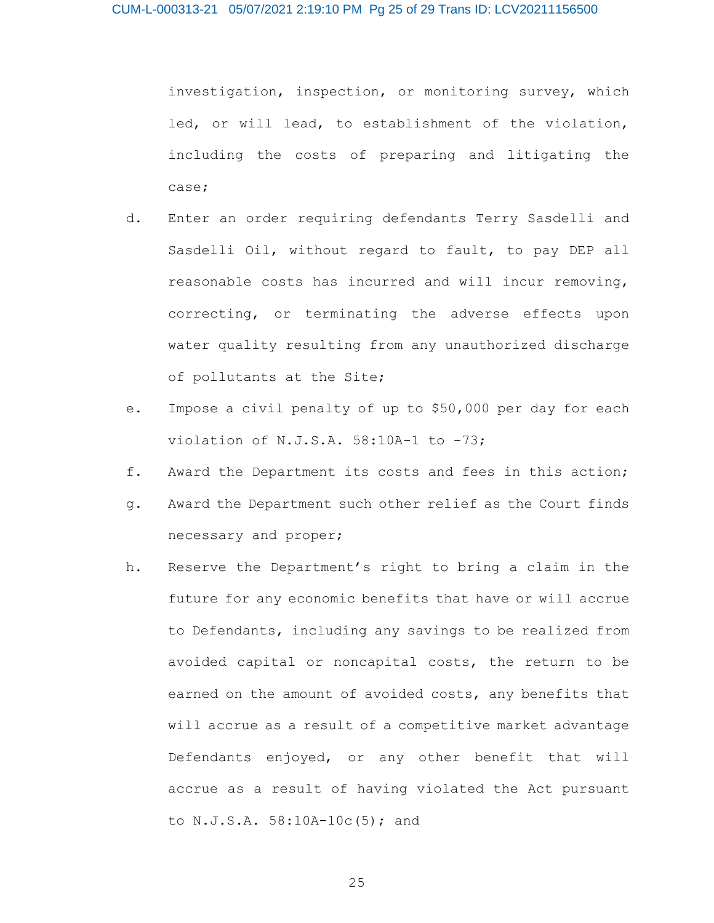investigation, inspection, or monitoring survey, which led, or will lead, to establishment of the violation, including the costs of preparing and litigating the case;

- d. Enter an order requiring defendants Terry Sasdelli and Sasdelli Oil, without regard to fault, to pay DEP all reasonable costs has incurred and will incur removing, correcting, or terminating the adverse effects upon water quality resulting from any unauthorized discharge of pollutants at the Site;
- e. Impose a civil penalty of up to \$50,000 per day for each violation of N.J.S.A. 58:10A-1 to -73;
- f. Award the Department its costs and fees in this action;
- g. Award the Department such other relief as the Court finds necessary and proper;
- h. Reserve the Department's right to bring a claim in the future for any economic benefits that have or will accrue to Defendants, including any savings to be realized from avoided capital or noncapital costs, the return to be earned on the amount of avoided costs, any benefits that will accrue as a result of a competitive market advantage Defendants enjoyed, or any other benefit that will accrue as a result of having violated the Act pursuant to N.J.S.A. 58:10A-10c(5); and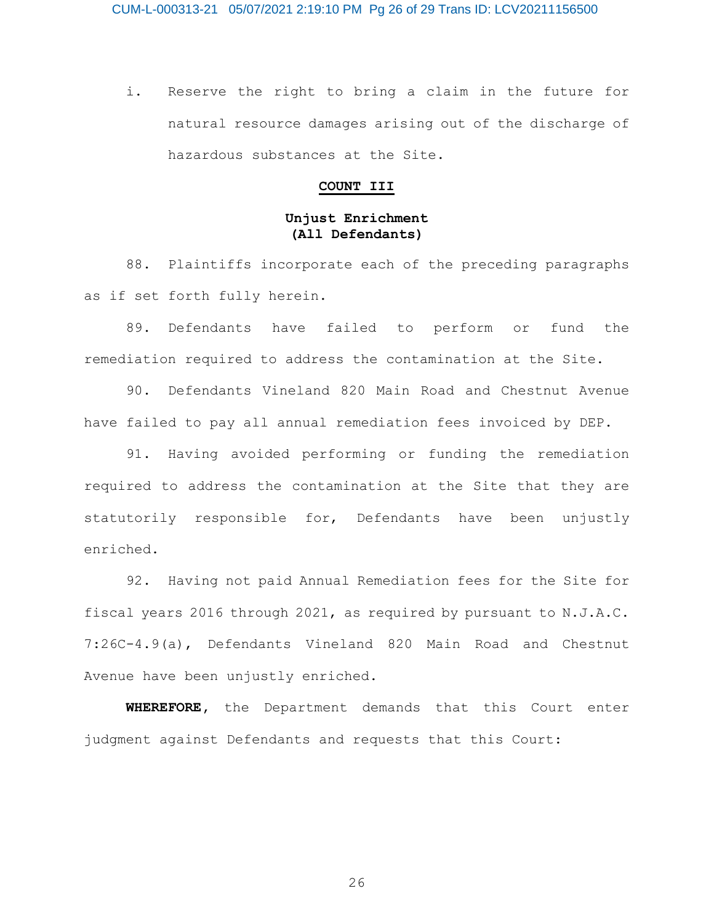i. Reserve the right to bring a claim in the future for natural resource damages arising out of the discharge of hazardous substances at the Site.

#### **COUNT III**

## **Unjust Enrichment (All Defendants)**

88. Plaintiffs incorporate each of the preceding paragraphs as if set forth fully herein.

89. Defendants have failed to perform or fund the remediation required to address the contamination at the Site.

90. Defendants Vineland 820 Main Road and Chestnut Avenue have failed to pay all annual remediation fees invoiced by DEP.

91. Having avoided performing or funding the remediation required to address the contamination at the Site that they are statutorily responsible for, Defendants have been unjustly enriched.

92. Having not paid Annual Remediation fees for the Site for fiscal years 2016 through 2021, as required by pursuant to N.J.A.C. 7:26C-4.9(a), Defendants Vineland 820 Main Road and Chestnut Avenue have been unjustly enriched.

**WHEREFORE,** the Department demands that this Court enter judgment against Defendants and requests that this Court: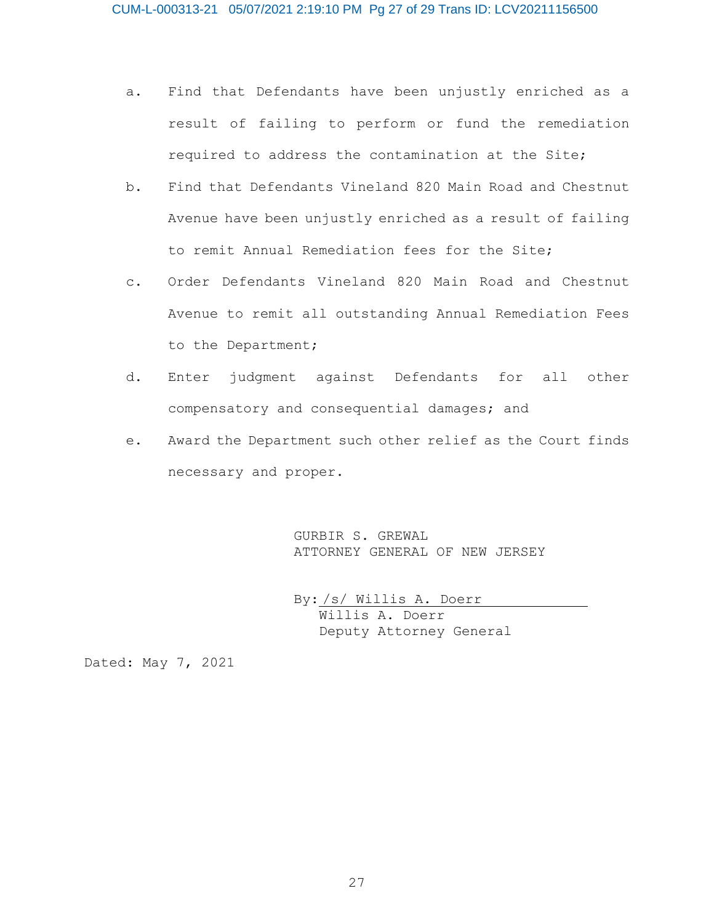- a. Find that Defendants have been unjustly enriched as a result of failing to perform or fund the remediation required to address the contamination at the Site;
- b. Find that Defendants Vineland 820 Main Road and Chestnut Avenue have been unjustly enriched as a result of failing to remit Annual Remediation fees for the Site;
- c. Order Defendants Vineland 820 Main Road and Chestnut Avenue to remit all outstanding Annual Remediation Fees to the Department;
- d. Enter judgment against Defendants for all other compensatory and consequential damages; and
- e. Award the Department such other relief as the Court finds necessary and proper.

GURBIR S. GREWAL ATTORNEY GENERAL OF NEW JERSEY

By: /s/ Willis A. Doerr Willis A. Doerr Deputy Attorney General

Dated: May 7, 2021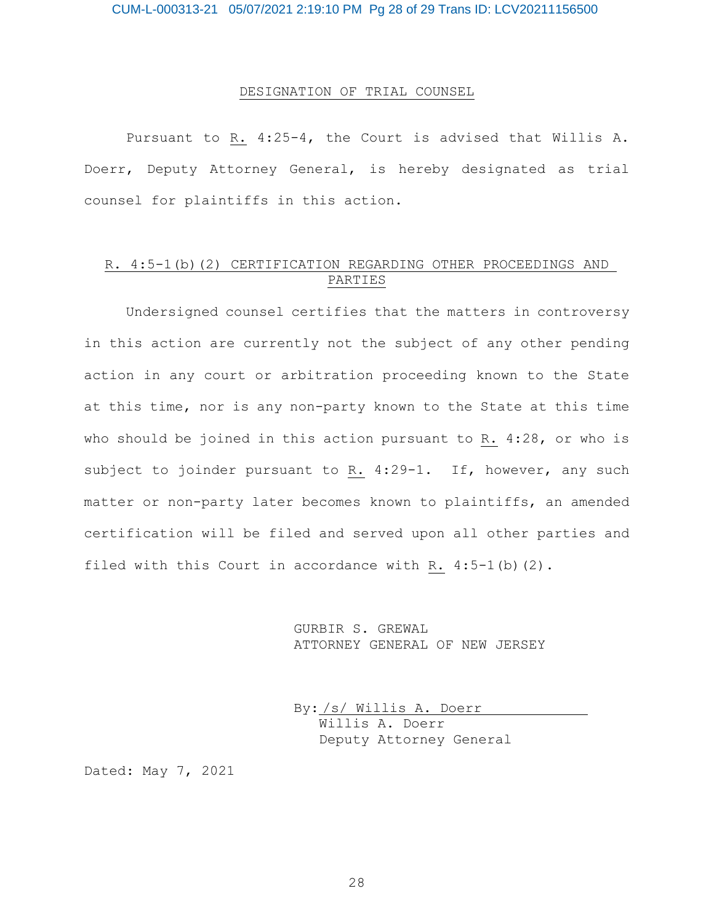#### DESIGNATION OF TRIAL COUNSEL

Pursuant to R. 4:25-4, the Court is advised that Willis A. Doerr, Deputy Attorney General, is hereby designated as trial counsel for plaintiffs in this action.

## R. 4:5-1(b)(2) CERTIFICATION REGARDING OTHER PROCEEDINGS AND PARTIES

Undersigned counsel certifies that the matters in controversy in this action are currently not the subject of any other pending action in any court or arbitration proceeding known to the State at this time, nor is any non-party known to the State at this time who should be joined in this action pursuant to R. 4:28, or who is subject to joinder pursuant to R. 4:29-1. If, however, any such matter or non-party later becomes known to plaintiffs, an amended certification will be filed and served upon all other parties and filed with this Court in accordance with R.  $4:5-1$  (b)  $(2)$ .

> GURBIR S. GREWAL ATTORNEY GENERAL OF NEW JERSEY

By: /s/ Willis A. Doerr Willis A. Doerr Deputy Attorney General

Dated: May 7, 2021